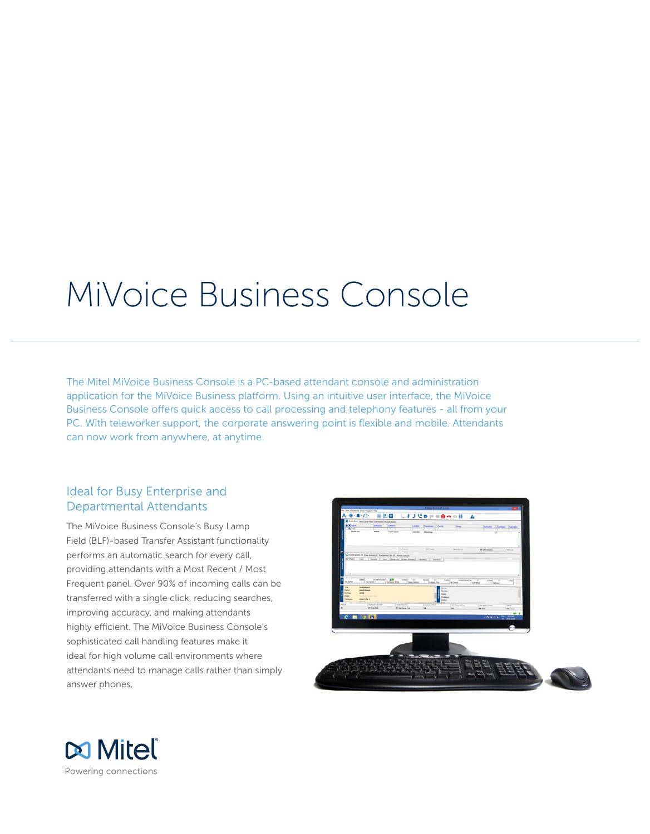# MiVoice Business Console

The Mitel MiVoice Business Console is a PC-based attendant console and administration application for the MiVoice Business platform. Using an intuitive user interface, the MiVoice Business Console offers quick access to call processing and telephony features - all from your PC. With teleworker support, the corporate answering point is flexible and mobile. Attendants can now work from anywhere, at anytime.

# Ideal for Busy Enterprise and Departmental Attendants

The MiVoice Business Console's Busy Lamp Field (BLF)-based Transfer Assistant functionality performs an automatic search for every call, providing attendants with a Most Recent / Most Frequent panel. Over 90% of incoming calls can be transferred with a single click, reducing searches, improving accuracy, and making attendants highly efficient. The MiVoice Business Console's sophisticated call handling features make it ideal for high volume call environments where attendants need to manage calls rather than simply answer phones.



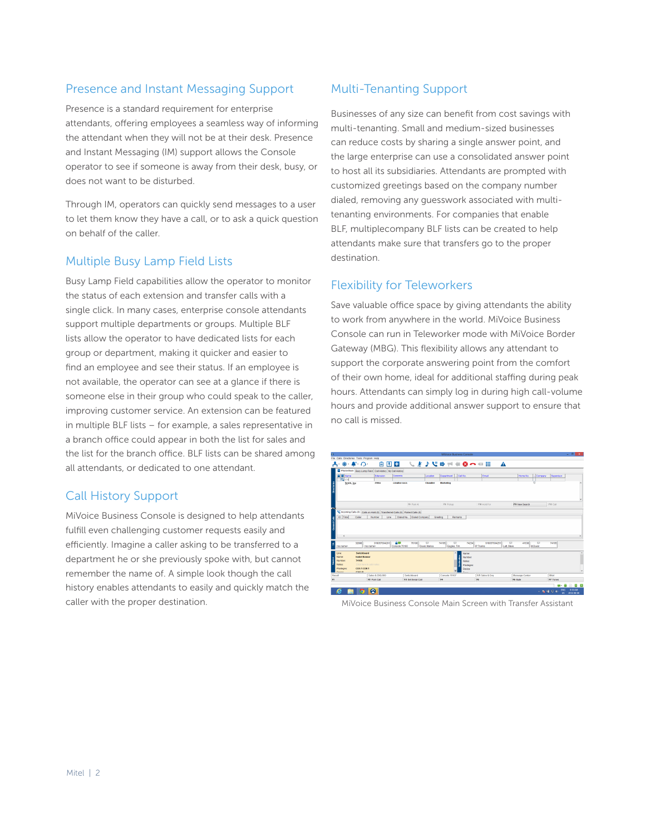# Presence and Instant Messaging Support

Presence is a standard requirement for enterprise attendants, offering employees a seamless way of informing the attendant when they will not be at their desk. Presence and Instant Messaging (IM) support allows the Console operator to see if someone is away from their desk, busy, or does not want to be disturbed.

Through IM, operators can quickly send messages to a user to let them know they have a call, or to ask a quick question on behalf of the caller.

## Multiple Busy Lamp Field Lists

Busy Lamp Field capabilities allow the operator to monitor the status of each extension and transfer calls with a single click. In many cases, enterprise console attendants support multiple departments or groups. Multiple BLF lists allow the operator to have dedicated lists for each group or department, making it quicker and easier to find an employee and see their status. If an employee is not available, the operator can see at a glance if there is someone else in their group who could speak to the caller, improving customer service. An extension can be featured in multiple BLF lists – for example, a sales representative in a branch office could appear in both the list for sales and the list for the branch office. BLF lists can be shared among all attendants, or dedicated to one attendant.

# Call History Support

MiVoice Business Console is designed to help attendants fulfill even challenging customer requests easily and efficiently. Imagine a caller asking to be transferred to a department he or she previously spoke with, but cannot remember the name of. A simple look though the call history enables attendants to easily and quickly match the caller with the proper destination.

# Multi-Tenanting Support

Businesses of any size can benefit from cost savings with multi-tenanting. Small and medium-sized businesses can reduce costs by sharing a single answer point, and the large enterprise can use a consolidated answer point to host all its subsidiaries. Attendants are prompted with customized greetings based on the company number dialed, removing any guesswork associated with multitenanting environments. For companies that enable BLF, multiplecompany BLF lists can be created to help attendants make sure that transfers go to the proper destination.

## Flexibility for Teleworkers

Save valuable office space by giving attendants the ability to work from anywhere in the world. MiVoice Business Console can run in Teleworker mode with MiVoice Border Gateway (MBG). This flexibility allows any attendant to support the corporate answering point from the comfort of their own home, ideal for additional staffing during peak hours. Attendants can simply log in during high call-volume hours and provide additional answer support to ensure that no call is missed.



MiVoice Business Console Main Screen with Transfer Assistant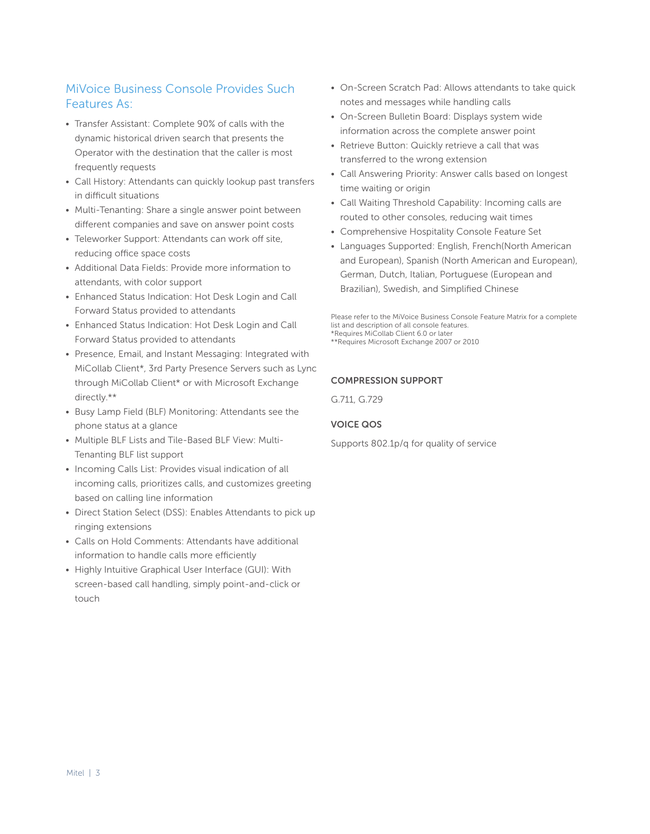# MiVoice Business Console Provides Such Features As:

- Transfer Assistant: Complete 90% of calls with the dynamic historical driven search that presents the Operator with the destination that the caller is most frequently requests
- Call History: Attendants can quickly lookup past transfers in difficult situations
- Multi-Tenanting: Share a single answer point between different companies and save on answer point costs
- Teleworker Support: Attendants can work off site, reducing office space costs
- Additional Data Fields: Provide more information to attendants, with color support
- Enhanced Status Indication: Hot Desk Login and Call Forward Status provided to attendants
- Enhanced Status Indication: Hot Desk Login and Call Forward Status provided to attendants
- Presence, Email, and Instant Messaging: Integrated with MiCollab Client\*, 3rd Party Presence Servers such as Lync through MiCollab Client\* or with Microsoft Exchange directly.\*\*
- Busy Lamp Field (BLF) Monitoring: Attendants see the phone status at a glance
- Multiple BLF Lists and Tile-Based BLF View: Multi-Tenanting BLF list support
- Incoming Calls List: Provides visual indication of all incoming calls, prioritizes calls, and customizes greeting based on calling line information
- Direct Station Select (DSS): Enables Attendants to pick up ringing extensions
- Calls on Hold Comments: Attendants have additional information to handle calls more efficiently
- Highly Intuitive Graphical User Interface (GUI): With screen-based call handling, simply point-and-click or touch
- On-Screen Scratch Pad: Allows attendants to take quick notes and messages while handling calls
- On-Screen Bulletin Board: Displays system wide information across the complete answer point
- Retrieve Button: Quickly retrieve a call that was transferred to the wrong extension
- Call Answering Priority: Answer calls based on longest time waiting or origin
- Call Waiting Threshold Capability: Incoming calls are routed to other consoles, reducing wait times
- Comprehensive Hospitality Console Feature Set
- Languages Supported: English, French(North American and European), Spanish (North American and European), German, Dutch, Italian, Portuguese (European and Brazilian), Swedish, and Simplified Chinese

Please refer to the MiVoice Business Console Feature Matrix for a complete list and description of all console features. \*Requires MiCollab Client 6.0 or later

\*\*Requires Microsoft Exchange 2007 or 2010

#### COMPRESSION SUPPORT

G.711, G.729

## VOICE QOS

Supports 802.1p/q for quality of service